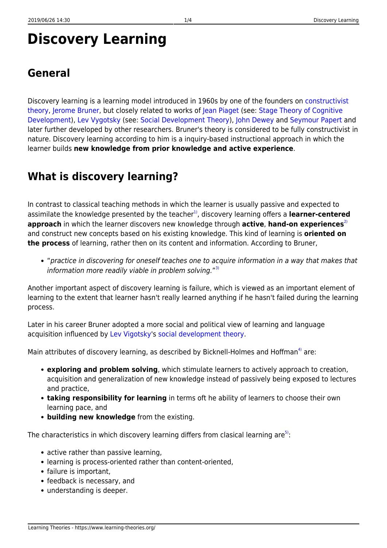# **Discovery Learning**

Discovery learning is a learning model introduced in 1960s by one of the founders on [constructivist](https://www.learning-theories.org/doku.php?id=learning_paradigms:constructivism) [theory,](https://www.learning-theories.org/doku.php?id=learning_paradigms:constructivism) [Jerome Bruner,](http://www.psych.nyu.edu/bruner/) but closely related to works of [Jean Piaget](http://www.ibe.unesco.org/publications/ThinkersPdf/piagete.PDF) (see: [Stage Theory of Cognitive](https://www.learning-theories.org/doku.php?id=learning_theories:stage_theory_of_cognitive_development) [Development](https://www.learning-theories.org/doku.php?id=learning_theories:stage_theory_of_cognitive_development)), [Lev Vygotsky](http://www.vygotsky-robbins.com/) (see: [Social Development Theory\)](https://www.learning-theories.org/doku.php?id=learning_theories:social_development_theory), [John Dewey](http://www.alexandertechnique.com/articles/dewey/) and [Seymour Papert](http://www.papert.org/) and later further developed by other researchers. Bruner's theory is considered to be fully constructivist in nature. Discovery learning according to him is a inquiry-based instructional approach in which the learner builds **new knowledge from prior knowledge and active experience**.

## **What is discovery learning?**

In contrast to classical teaching methods in which the learner is usually passive and expected to assimilate the knowledge presented by the teacher<sup>1</sup>, discovery learning offers a **learner-centered approach** in which the learner discovers new knowledge through **active, hand-on experiences**<sup>[2\)](#page--1-0)</sup> and construct new concepts based on his existing knowledge. This kind of learning is **oriented on the process** of learning, rather then on its content and information. According to Bruner,

"practice in discovering for oneself teaches one to acquire information in a way that makes that information more readily viable in problem solving."<sup>[3\)](#page--1-0)</sup>

Another important aspect of discovery learning is failure, which is viewed as an important element of learning to the extent that learner hasn't really learned anything if he hasn't failed during the learning process.

Later in his career Bruner adopted a more social and political view of learning and language acquisition influenced by [Lev Vigotsky](http://www.marxists.org/archive/vygotsky/)'s [social development theory.](https://www.learning-theories.org/doku.php?id=learning_theories:social_development_theory)

Main attributes of discovery learning, as described by Bicknell-Holmes and Hoffman<sup>[4\)](#page--1-0)</sup> are:

- **exploring and problem solving**, which stimulate learners to actively approach to creation, acquisition and generalization of new knowledge instead of passively being exposed to lectures and practice,
- **taking responsibility for learning** in terms oft he ability of learners to choose their own learning pace, and
- **building new knowledge** from the existing.

The characteristics in which discovery learning differs from clasical learning are<sup>[5\)](#page--1-0)</sup>:

- active rather than passive learning.
- learning is process-oriented rather than content-oriented,
- failure is important,
- feedback is necessary, and
- understanding is deeper.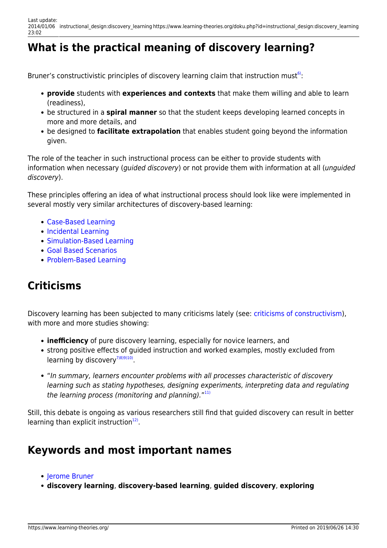## **What is the practical meaning of discovery learning?**

Bruner's constructivistic principles of discovery learning claim that instruction must<sup>[6\)](#page--1-0)</sup>:

- **provide** students with **experiences and contexts** that make them willing and able to learn (readiness),
- be structured in a **spiral manner** so that the student keeps developing learned concepts in more and more details, and
- be designed to **facilitate extrapolation** that enables student going beyond the information given.

The role of the teacher in such instructional process can be either to provide students with information when necessary (*quided discovery*) or not provide them with information at all (*unquided* discovery).

These principles offering an idea of what instructional process should look like were implemented in several mostly very similar architectures of discovery-based learning:

- [Case-Based Learning](https://www.learning-theories.org/doku.php?id=instructional_design:case-based_learning)
- [Incidental Learning](https://www.learning-theories.org/doku.php?id=instructional_design:incidental_learning)
- [Simulation-Based Learning](https://www.learning-theories.org/doku.php?id=instructional_design:simulation-based_learning)
- [Goal Based Scenarios](https://www.learning-theories.org/doku.php?id=instructional_design:goal_based_scenarios)
- [Problem-Based Learning](https://www.learning-theories.org/doku.php?id=instructional_design:problem-based_learning)

#### **Criticisms**

Discovery learning has been subjected to many criticisms lately (see: [criticisms of constructivism](https://www.learning-theories.org/doku.php?id=learning_paradigms:constructivism#criticisms)), with more and more studies showing:

- **inefficiency** of pure discovery learning, especially for novice learners, and
- strong positive effects of guided instruction and worked examples, mostly excluded from learning by discovery $^{7(8)(9)(10)}$ .
- "In summary, learners encounter problems with all processes characteristic of discovery learning such as stating hypotheses, designing experiments, interpreting data and regulating the learning process (monitoring and planning)."<sup>[11\)](#page--1-0)</sup>

Still, this debate is ongoing as various researchers still find that guided discovery can result in better learning than explicit instruction<sup>[12\)](#page--1-0)</sup>.

#### **Keywords and most important names**

- [Jerome Bruner](http://www.psych.nyu.edu/bruner/)
- **discovery learning**, **discovery-based learning**, **guided discovery**, **exploring**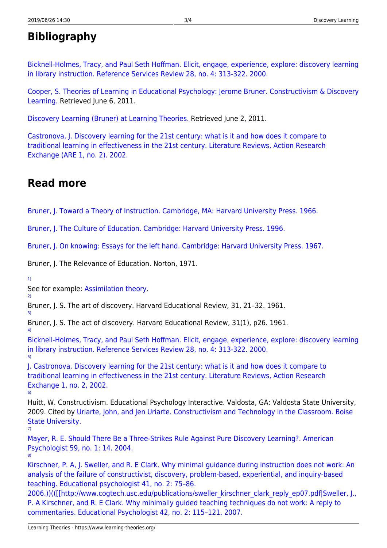#### **Bibliography**

[Bicknell-Holmes, Tracy, and Paul Seth Hoffman. Elicit, engage, experience, explore: discovery learning](http://digitalcommons.unl.edu/cgi/viewcontent.cgi?article=1029&context=library_talks&sei-redir=1#search=%22Discovery+learning+in+library+instruction%22) [in library instruction. Reference Services Review 28, no. 4: 313-322. 2000.](http://digitalcommons.unl.edu/cgi/viewcontent.cgi?article=1029&context=library_talks&sei-redir=1#search=%22Discovery+learning+in+library+instruction%22)

[Cooper, S. Theories of Learning in Educational Psychology: Jerome Bruner. Constructivism & Discovery](http://www.lifecircles-inc.com/Learningtheories/constructivism/bruner.html) [Learning.](http://www.lifecircles-inc.com/Learningtheories/constructivism/bruner.html) Retrieved June 6, 2011.

[Discovery Learning \(Bruner\) at Learning Theories.](http://www.learning-theories.com/discovery-learning-bruner.html) Retrieved June 2, 2011.

[Castronova, J. Discovery learning for the 21st century: what is it and how does it compare to](http://teach.valdosta.edu/are/Litreviews/vol1no1/castronova_litr.pdf) [traditional learning in effectiveness in the 21st century. Literature Reviews, Action Research](http://teach.valdosta.edu/are/Litreviews/vol1no1/castronova_litr.pdf) [Exchange \(ARE 1, no. 2\). 2002.](http://teach.valdosta.edu/are/Litreviews/vol1no1/castronova_litr.pdf)

#### **Read more**

[Bruner, J. Toward a Theory of Instruction. Cambridge, MA: Harvard University Press. 1966.](http://books.google.hr/books?id=F_d96D9FmbUC&printsec=frontcover&dq=towards+a+theory+of+instruction&hl=hr&ei=L6nCTdT6HIeEOq_w1Z0I&sa=X&oi=book_result&ct=result&resnum=1&ved=0CCgQ6AEwAA#v=onepage&q&f=false)

[Bruner, J. The Culture of Education. Cambridge: Harvard University Press. 1996.](http://books.google.hr/books?id=7a978qleVkcC&printsec=frontcover&dq=The+Culture+of+Education&hl=hr&ei=kKrCTaCfPMmXOp6LuZ0I&sa=X&oi=book_result&ct=result&resnum=1&ved=0CCgQ6AEwAA#v=onepage&q&f=false)

[Bruner, J. On knowing: Essays for the left hand. Cambridge: Harvard University Press. 1967.](http://books.google.hr/books?id=vAJevMzhIKYC&printsec=frontcover&dq=On+knowing:+Essays+for+the+left+hand&hl=hr&ei=uKrCTZyYGdCgOu6lrZ0I&sa=X&oi=book_result&ct=result&resnum=1&ved=0CC8Q6AEwAA#v=onepage&q&f=false)

Bruner, J. The Relevance of Education. Norton, 1971.

[1\)](#page--1-0)

[2\)](#page--1-0)

[3\)](#page--1-0)

[4\)](#page--1-0)

[6\)](#page--1-0)

[7\)](#page--1-0)

See for example: [Assimilation theory](https://www.learning-theories.org/doku.php?id=learning_theories:assimilation_theory).

Bruner, J. S. The art of discovery. Harvard Educational Review, 31, 21–32. 1961.

Bruner, J. S. The act of discovery. Harvard Educational Review, 31(1), p26. 1961.

[Bicknell-Holmes, Tracy, and Paul Seth Hoffman. Elicit, engage, experience, explore: discovery learning](http://digitalcommons.unl.edu/cgi/viewcontent.cgi?article=1029&context=library_talks&sei-redir=1#search=%22Discovery+learning+in+library+instruction%22) [in library instruction. Reference Services Review 28, no. 4: 313-322. 2000.](http://digitalcommons.unl.edu/cgi/viewcontent.cgi?article=1029&context=library_talks&sei-redir=1#search=%22Discovery+learning+in+library+instruction%22) [5\)](#page--1-0)

[J. Castronova. Discovery learning for the 21st century: what is it and how does it compare to](http://teach.valdosta.edu/are/Litreviews/vol1no1/castronova_litr.pdf) [traditional learning in effectiveness in the 21st century. Literature Reviews, Action Research](http://teach.valdosta.edu/are/Litreviews/vol1no1/castronova_litr.pdf) [Exchange 1, no. 2, 2002.](http://teach.valdosta.edu/are/Litreviews/vol1no1/castronova_litr.pdf)

Huitt, W. Constructivism. Educational Psychology Interactive. Valdosta, GA: Valdosta State University, 2009. Cited by [Uriarte, John, and Jen Uriarte. Constructivism and Technology in the Classroom. Boise](https://sites.google.com/a/boisestate.edu/edteki/final-synthesis-papers/constructivism-and-technology-in-the-classroom-1) [State University.](https://sites.google.com/a/boisestate.edu/edteki/final-synthesis-papers/constructivism-and-technology-in-the-classroom-1)

[Mayer, R. E. Should There Be a Three-Strikes Rule Against Pure Discovery Learning?. American](http://www.katharinenewman.com/Research/Desktop/amp-59-1-14.pdf) [Psychologist 59, no. 1: 14. 2004.](http://www.katharinenewman.com/Research/Desktop/amp-59-1-14.pdf) [8\)](#page--1-0)

[Kirschner, P. A, J. Sweller, and R. E Clark. Why minimal guidance during instruction does not work: An](http://www.google.hr/url?sa=t&source=web&cd=1&ved=0CBoQFjAA&url=http%3A%2F%2Fciteseerx.ist.psu.edu%2Fviewdoc%2Fdownload%3Fdoi%3D10.1.1.169.8810%26rep%3Drep1%26type%3Dpdf&rct=j&q=Why%20minimal%20guidance%20during%20instruction%20does%20not%20work&ei=yvSuTaKGCoySOuetze4B&usg=AFQjCNGIE4wsl4Fg5fVtGlt3UdZOoLrP2A&cad=rja) [analysis of the failure of constructivist, discovery, problem-based, experiential, and inquiry-based](http://www.google.hr/url?sa=t&source=web&cd=1&ved=0CBoQFjAA&url=http%3A%2F%2Fciteseerx.ist.psu.edu%2Fviewdoc%2Fdownload%3Fdoi%3D10.1.1.169.8810%26rep%3Drep1%26type%3Dpdf&rct=j&q=Why%20minimal%20guidance%20during%20instruction%20does%20not%20work&ei=yvSuTaKGCoySOuetze4B&usg=AFQjCNGIE4wsl4Fg5fVtGlt3UdZOoLrP2A&cad=rja) [teaching. Educational psychologist 41, no. 2: 75–86.](http://www.google.hr/url?sa=t&source=web&cd=1&ved=0CBoQFjAA&url=http%3A%2F%2Fciteseerx.ist.psu.edu%2Fviewdoc%2Fdownload%3Fdoi%3D10.1.1.169.8810%26rep%3Drep1%26type%3Dpdf&rct=j&q=Why%20minimal%20guidance%20during%20instruction%20does%20not%20work&ei=yvSuTaKGCoySOuetze4B&usg=AFQjCNGIE4wsl4Fg5fVtGlt3UdZOoLrP2A&cad=rja)

[2006.\)\)\(\(\[\[http://www.cogtech.usc.edu/publications/sweller\\_kirschner\\_clark\\_reply\\_ep07.pdf|Sweller, J.,](http://www.google.hr/url?sa=t&source=web&cd=1&ved=0CBoQFjAA&url=http%3A%2F%2Fciteseerx.ist.psu.edu%2Fviewdoc%2Fdownload%3Fdoi%3D10.1.1.169.8810%26rep%3Drep1%26type%3Dpdf&rct=j&q=Why%20minimal%20guidance%20during%20instruction%20does%20not%20work&ei=yvSuTaKGCoySOuetze4B&usg=AFQjCNGIE4wsl4Fg5fVtGlt3UdZOoLrP2A&cad=rja) [P. A Kirschner, and R. E Clark. Why minimally guided teaching techniques do not work: A reply to](http://www.google.hr/url?sa=t&source=web&cd=1&ved=0CBoQFjAA&url=http%3A%2F%2Fciteseerx.ist.psu.edu%2Fviewdoc%2Fdownload%3Fdoi%3D10.1.1.169.8810%26rep%3Drep1%26type%3Dpdf&rct=j&q=Why%20minimal%20guidance%20during%20instruction%20does%20not%20work&ei=yvSuTaKGCoySOuetze4B&usg=AFQjCNGIE4wsl4Fg5fVtGlt3UdZOoLrP2A&cad=rja) [commentaries. Educational Psychologist 42, no. 2: 115–121. 2007.](http://www.google.hr/url?sa=t&source=web&cd=1&ved=0CBoQFjAA&url=http%3A%2F%2Fciteseerx.ist.psu.edu%2Fviewdoc%2Fdownload%3Fdoi%3D10.1.1.169.8810%26rep%3Drep1%26type%3Dpdf&rct=j&q=Why%20minimal%20guidance%20during%20instruction%20does%20not%20work&ei=yvSuTaKGCoySOuetze4B&usg=AFQjCNGIE4wsl4Fg5fVtGlt3UdZOoLrP2A&cad=rja)